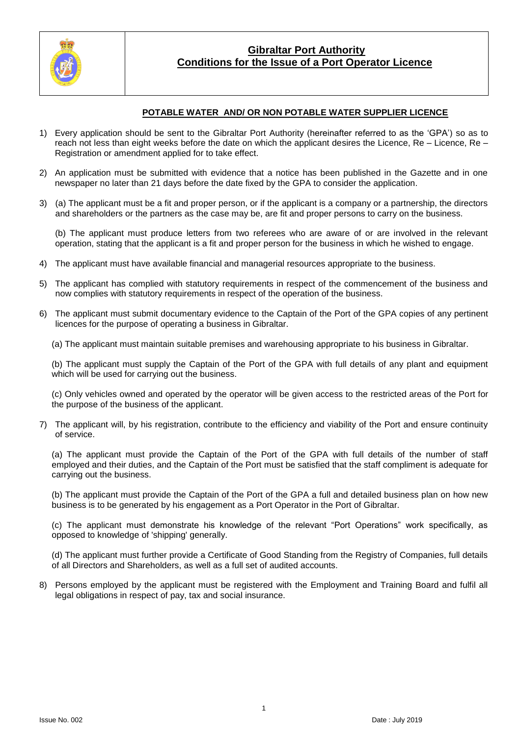

#### **POTABLE WATER AND/ OR NON POTABLE WATER SUPPLIER LICENCE**

- 1) Every application should be sent to the Gibraltar Port Authority (hereinafter referred to as the 'GPA') so as to reach not less than eight weeks before the date on which the applicant desires the Licence, Re – Licence, Re – Registration or amendment applied for to take effect.
- 2) An application must be submitted with evidence that a notice has been published in the Gazette and in one newspaper no later than 21 days before the date fixed by the GPA to consider the application.
- 3) (a) The applicant must be a fit and proper person, or if the applicant is a company or a partnership, the directors and shareholders or the partners as the case may be, are fit and proper persons to carry on the business.

(b) The applicant must produce letters from two referees who are aware of or are involved in the relevant operation, stating that the applicant is a fit and proper person for the business in which he wished to engage.

- 4) The applicant must have available financial and managerial resources appropriate to the business.
- 5) The applicant has complied with statutory requirements in respect of the commencement of the business and now complies with statutory requirements in respect of the operation of the business.
- 6) The applicant must submit documentary evidence to the Captain of the Port of the GPA copies of any pertinent licences for the purpose of operating a business in Gibraltar.
	- (a) The applicant must maintain suitable premises and warehousing appropriate to his business in Gibraltar.

(b) The applicant must supply the Captain of the Port of the GPA with full details of any plant and equipment which will be used for carrying out the business.

(c) Only vehicles owned and operated by the operator will be given access to the restricted areas of the Port for the purpose of the business of the applicant.

7) The applicant will, by his registration, contribute to the efficiency and viability of the Port and ensure continuity of service.

(a) The applicant must provide the Captain of the Port of the GPA with full details of the number of staff employed and their duties, and the Captain of the Port must be satisfied that the staff compliment is adequate for carrying out the business.

(b) The applicant must provide the Captain of the Port of the GPA a full and detailed business plan on how new business is to be generated by his engagement as a Port Operator in the Port of Gibraltar.

(c) The applicant must demonstrate his knowledge of the relevant "Port Operations" work specifically, as opposed to knowledge of 'shipping' generally.

(d) The applicant must further provide a Certificate of Good Standing from the Registry of Companies, full details of all Directors and Shareholders, as well as a full set of audited accounts.

8) Persons employed by the applicant must be registered with the Employment and Training Board and fulfil all legal obligations in respect of pay, tax and social insurance.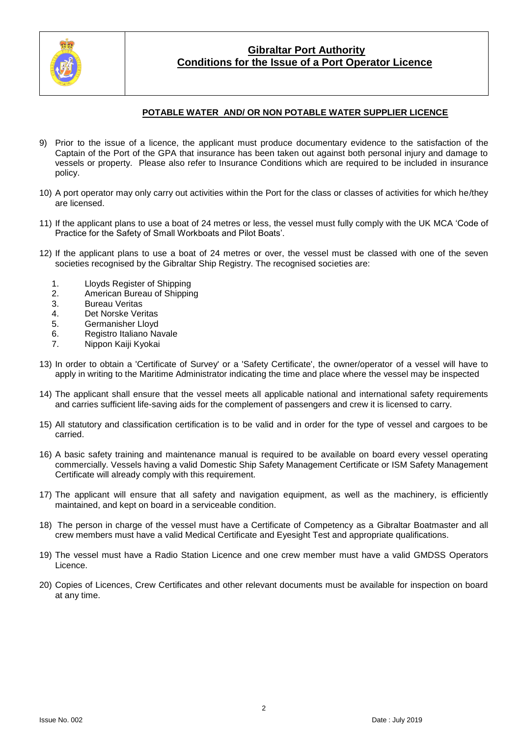

#### **POTABLE WATER AND/ OR NON POTABLE WATER SUPPLIER LICENCE**

- 9) Prior to the issue of a licence, the applicant must produce documentary evidence to the satisfaction of the Captain of the Port of the GPA that insurance has been taken out against both personal injury and damage to vessels or property. Please also refer to Insurance Conditions which are required to be included in insurance policy.
- 10) A port operator may only carry out activities within the Port for the class or classes of activities for which he/they are licensed.
- 11) If the applicant plans to use a boat of 24 metres or less, the vessel must fully comply with the UK MCA 'Code of Practice for the Safety of Small Workboats and Pilot Boats'.
- 12) If the applicant plans to use a boat of 24 metres or over, the vessel must be classed with one of the seven societies recognised by the Gibraltar Ship Registry. The recognised societies are:
	- 1. Lloyds Register of Shipping
	- 2. American Bureau of Shipping<br>3. Bureau Veritas
	- **Bureau Veritas**
	- 4. Det Norske Veritas
	- 5. Germanisher Lloyd
	- 6. Registro Italiano Navale
	- 7. Nippon Kaiji Kyokai
- 13) In order to obtain a 'Certificate of Survey' or a 'Safety Certificate', the owner/operator of a vessel will have to apply in writing to the Maritime Administrator indicating the time and place where the vessel may be inspected
- 14) The applicant shall ensure that the vessel meets all applicable national and international safety requirements and carries sufficient life-saving aids for the complement of passengers and crew it is licensed to carry.
- 15) All statutory and classification certification is to be valid and in order for the type of vessel and cargoes to be carried.
- 16) A basic safety training and maintenance manual is required to be available on board every vessel operating commercially. Vessels having a valid Domestic Ship Safety Management Certificate or ISM Safety Management Certificate will already comply with this requirement.
- 17) The applicant will ensure that all safety and navigation equipment, as well as the machinery, is efficiently maintained, and kept on board in a serviceable condition.
- 18) The person in charge of the vessel must have a Certificate of Competency as a Gibraltar Boatmaster and all crew members must have a valid Medical Certificate and Eyesight Test and appropriate qualifications.
- 19) The vessel must have a Radio Station Licence and one crew member must have a valid GMDSS Operators Licence.
- 20) Copies of Licences, Crew Certificates and other relevant documents must be available for inspection on board at any time.

 $\overline{2}$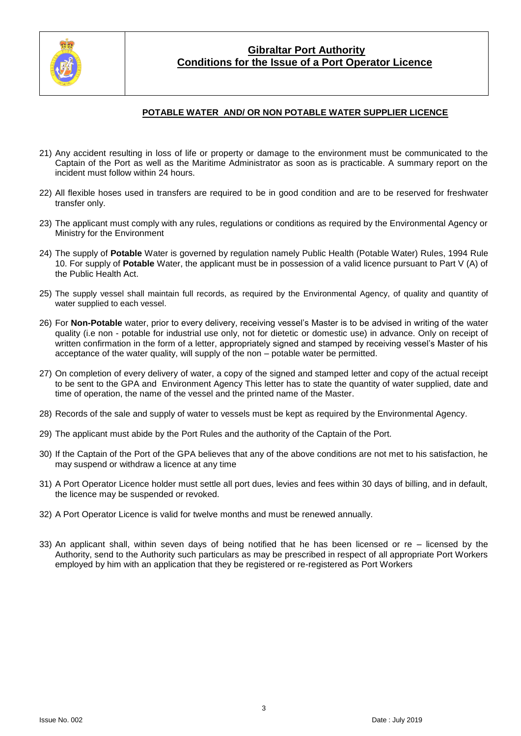

#### **POTABLE WATER AND/ OR NON POTABLE WATER SUPPLIER LICENCE**

- 21) Any accident resulting in loss of life or property or damage to the environment must be communicated to the Captain of the Port as well as the Maritime Administrator as soon as is practicable. A summary report on the incident must follow within 24 hours.
- 22) All flexible hoses used in transfers are required to be in good condition and are to be reserved for freshwater transfer only.
- 23) The applicant must comply with any rules, regulations or conditions as required by the Environmental Agency or Ministry for the Environment
- 24) The supply of **Potable** Water is governed by regulation namely Public Health (Potable Water) Rules, 1994 Rule 10. For supply of **Potable** Water, the applicant must be in possession of a valid licence pursuant to Part V (A) of the Public Health Act.
- 25) The supply vessel shall maintain full records, as required by the Environmental Agency, of quality and quantity of water supplied to each vessel.
- 26) For **Non-Potable** water, prior to every delivery, receiving vessel's Master is to be advised in writing of the water quality (i.e non - potable for industrial use only, not for dietetic or domestic use) in advance. Only on receipt of written confirmation in the form of a letter, appropriately signed and stamped by receiving vessel's Master of his acceptance of the water quality, will supply of the non – potable water be permitted.
- 27) On completion of every delivery of water, a copy of the signed and stamped letter and copy of the actual receipt to be sent to the GPA and Environment Agency This letter has to state the quantity of water supplied, date and time of operation, the name of the vessel and the printed name of the Master.
- 28) Records of the sale and supply of water to vessels must be kept as required by the Environmental Agency.
- 29) The applicant must abide by the Port Rules and the authority of the Captain of the Port.
- 30) If the Captain of the Port of the GPA believes that any of the above conditions are not met to his satisfaction, he may suspend or withdraw a licence at any time
- 31) A Port Operator Licence holder must settle all port dues, levies and fees within 30 days of billing, and in default, the licence may be suspended or revoked.
- 32) A Port Operator Licence is valid for twelve months and must be renewed annually.
- 33) An applicant shall, within seven days of being notified that he has been licensed or re licensed by the Authority, send to the Authority such particulars as may be prescribed in respect of all appropriate Port Workers employed by him with an application that they be registered or re-registered as Port Workers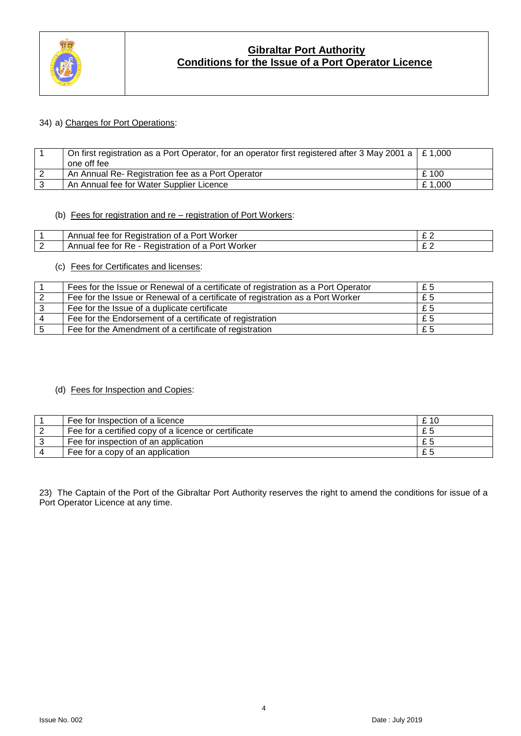

#### 34) a) Charges for Port Operations:

| On first registration as a Port Operator, for an operator first registered after 3 May 2001 a $\mid$ £ 1,000<br>one off fee |         |
|-----------------------------------------------------------------------------------------------------------------------------|---------|
| An Annual Re- Registration fee as a Port Operator                                                                           | £100    |
| An Annual fee for Water Supplier Licence                                                                                    | £ 1.000 |

#### (b) Fees for registration and re – registration of Port Workers:

|   | Worker<br><b>A</b> $\sim$<br>nr.<br>oı<br>. ت<br>эı<br>188<br>-sentium<br>- 1 ( ) 1<br>uai | -<br>- |
|---|--------------------------------------------------------------------------------------------|--------|
| - | . Worker<br>RA<br>ื∽∩r<br>אור<br>τρρ<br>16<br>ALL.<br>1 ( ) I<br>r<br>лc.                  | -      |

## (c) Fees for Certificates and licenses:

| Fees for the Issue or Renewal of a certificate of registration as a Port Operator | £5    |
|-----------------------------------------------------------------------------------|-------|
| Fee for the Issue or Renewal of a certificate of registration as a Port Worker    | £ $5$ |
| Fee for the Issue of a duplicate certificate                                      | £5    |
| Fee for the Endorsement of a certificate of registration                          | £5    |
| Fee for the Amendment of a certificate of registration                            | £5    |

#### (d) Fees for Inspection and Copies:

| Fee for Inspection of a licence                      | £ 10 |
|------------------------------------------------------|------|
| Fee for a certified copy of a licence or certificate | £5   |
| Fee for inspection of an application                 | £5   |
| Fee for a copy of an application                     | £5   |

23) The Captain of the Port of the Gibraltar Port Authority reserves the right to amend the conditions for issue of a Port Operator Licence at any time.